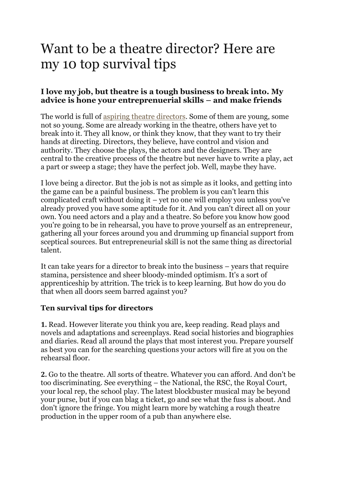## Want to be a theatre director? Here are my 10 top survival tips

## **I love my job, but theatre is a tough business to break into. My advice is hone your entreprenuerial skills – and make friends**

The world is full of aspiring theatre [directors.](http://www.guardian.co.uk/stage/theatreblog/2010/feb/01/oxbridge-british-theatre) Some of them are young, some not so young. Some are already working in the theatre, others have yet to break into it. They all know, or think they know, that they want to try their hands at directing. Directors, they believe, have control and vision and authority. They choose the plays, the actors and the designers. They are central to the creative process of the theatre but never have to write a play, act a part or sweep a stage; they have the perfect job. Well, maybe they have.

I love being a director. But the job is not as simple as it looks, and getting into the game can be a painful business. The problem is you can't learn this complicated craft without doing it – yet no one will employ you unless you've already proved you have some aptitude for it. And you can't direct all on your own. You need actors and a play and a theatre. So before you know how good you're going to be in rehearsal, you have to prove yourself as an entrepreneur, gathering all your forces around you and drumming up financial support from sceptical sources. But entrepreneurial skill is not the same thing as directorial talent.

It can take years for a director to break into the business – years that require stamina, persistence and sheer bloody-minded optimism. It's a sort of apprenticeship by attrition. The trick is to keep learning. But how do you do that when all doors seem barred against you?

## **Ten survival tips for directors**

**1.** Read. However literate you think you are, keep reading. Read plays and novels and adaptations and screenplays. Read social histories and biographies and diaries. Read all around the plays that most interest you. Prepare yourself as best you can for the searching questions your actors will fire at you on the rehearsal floor.

**2.** Go to the theatre. All sorts of theatre. Whatever you can afford. And don't be too discriminating. See everything – the National, the RSC, the Royal Court, your local rep, the school play. The latest blockbuster musical may be beyond your purse, but if you can blag a ticket, go and see what the fuss is about. And don't ignore the fringe. You might learn more by watching a rough theatre production in the upper room of a pub than anywhere else.